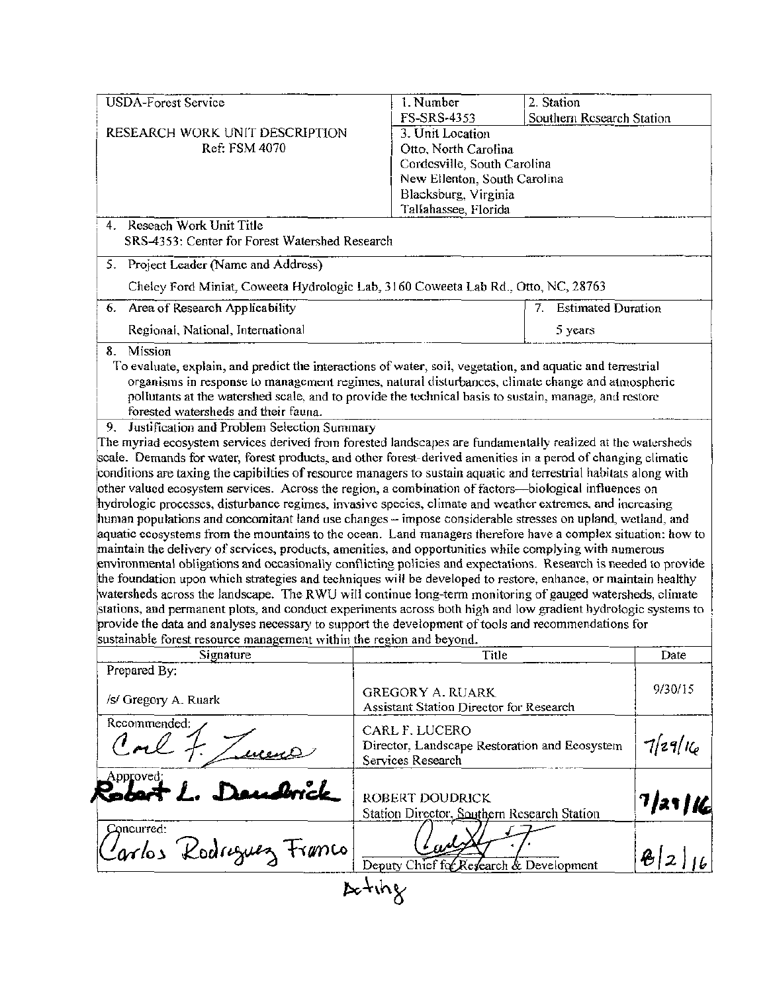| <b>USDA-Forest Service</b>                                                                                                                                                                                                                                                                                                                                                                                                                                                                                                                                                                                                                                                         | 1. Number<br>2. Station                                                                                     |                       |  |  |
|------------------------------------------------------------------------------------------------------------------------------------------------------------------------------------------------------------------------------------------------------------------------------------------------------------------------------------------------------------------------------------------------------------------------------------------------------------------------------------------------------------------------------------------------------------------------------------------------------------------------------------------------------------------------------------|-------------------------------------------------------------------------------------------------------------|-----------------------|--|--|
|                                                                                                                                                                                                                                                                                                                                                                                                                                                                                                                                                                                                                                                                                    | FS-SRS-4353<br>Southern Research Station                                                                    |                       |  |  |
| RESEARCH WORK UNIT DESCRIPTION                                                                                                                                                                                                                                                                                                                                                                                                                                                                                                                                                                                                                                                     | 3. Unit Location                                                                                            |                       |  |  |
| Ref: FSM 4070                                                                                                                                                                                                                                                                                                                                                                                                                                                                                                                                                                                                                                                                      | Otto, North Carolina                                                                                        |                       |  |  |
|                                                                                                                                                                                                                                                                                                                                                                                                                                                                                                                                                                                                                                                                                    | Cordesville, South Carolina<br>New Ellenton, South Carolina                                                 |                       |  |  |
|                                                                                                                                                                                                                                                                                                                                                                                                                                                                                                                                                                                                                                                                                    |                                                                                                             |                       |  |  |
|                                                                                                                                                                                                                                                                                                                                                                                                                                                                                                                                                                                                                                                                                    | Blacksburg, Virginia                                                                                        |                       |  |  |
|                                                                                                                                                                                                                                                                                                                                                                                                                                                                                                                                                                                                                                                                                    | Tallahassee, Florida                                                                                        |                       |  |  |
| 4. Reseach Work Unit Title                                                                                                                                                                                                                                                                                                                                                                                                                                                                                                                                                                                                                                                         |                                                                                                             |                       |  |  |
| SRS-4353: Center for Forest Watershed Research                                                                                                                                                                                                                                                                                                                                                                                                                                                                                                                                                                                                                                     |                                                                                                             |                       |  |  |
| 5. Project Leader (Name and Address)                                                                                                                                                                                                                                                                                                                                                                                                                                                                                                                                                                                                                                               |                                                                                                             |                       |  |  |
|                                                                                                                                                                                                                                                                                                                                                                                                                                                                                                                                                                                                                                                                                    | Chelcy Ford Miniat, Coweeta Hydrologic Lab, 3160 Coweeta Lab Rd., Otto, NC, 28763                           |                       |  |  |
| Area of Research Applicability<br>6.                                                                                                                                                                                                                                                                                                                                                                                                                                                                                                                                                                                                                                               |                                                                                                             | 7. Estimated Duration |  |  |
| Regional, National, International                                                                                                                                                                                                                                                                                                                                                                                                                                                                                                                                                                                                                                                  | 5 years                                                                                                     |                       |  |  |
| 8. Mission<br>To evaluate, explain, and predict the interactions of water, soil, vegetation, and aquatic and terrestrial                                                                                                                                                                                                                                                                                                                                                                                                                                                                                                                                                           |                                                                                                             |                       |  |  |
|                                                                                                                                                                                                                                                                                                                                                                                                                                                                                                                                                                                                                                                                                    | organisms in response to management regimes, natural disturbances, climate change and atmospheric           |                       |  |  |
|                                                                                                                                                                                                                                                                                                                                                                                                                                                                                                                                                                                                                                                                                    | pollutants at the watershed scale, and to provide the technical basis to sustain, manage, and restore       |                       |  |  |
| forested watersheds and their fauna.                                                                                                                                                                                                                                                                                                                                                                                                                                                                                                                                                                                                                                               |                                                                                                             |                       |  |  |
| 9. Justification and Problem Selection Summary                                                                                                                                                                                                                                                                                                                                                                                                                                                                                                                                                                                                                                     |                                                                                                             |                       |  |  |
|                                                                                                                                                                                                                                                                                                                                                                                                                                                                                                                                                                                                                                                                                    | The myriad ecosystem services derived from forested landscapes are fundamentally realized at the watersheds |                       |  |  |
|                                                                                                                                                                                                                                                                                                                                                                                                                                                                                                                                                                                                                                                                                    |                                                                                                             |                       |  |  |
|                                                                                                                                                                                                                                                                                                                                                                                                                                                                                                                                                                                                                                                                                    |                                                                                                             |                       |  |  |
|                                                                                                                                                                                                                                                                                                                                                                                                                                                                                                                                                                                                                                                                                    |                                                                                                             |                       |  |  |
|                                                                                                                                                                                                                                                                                                                                                                                                                                                                                                                                                                                                                                                                                    |                                                                                                             |                       |  |  |
|                                                                                                                                                                                                                                                                                                                                                                                                                                                                                                                                                                                                                                                                                    |                                                                                                             |                       |  |  |
| scale. Demands for water, forest products, and other forest-derived amenities in a perod of changing climatic<br>conditions are taxing the capibilties of resource managers to sustain aquatic and terrestrial habitats along with<br>other valued ecosystem services. Across the region, a combination of factors—biological influences on<br>hydrologic processes, disturbance regimes, invasive species, climate and weather extremes, and increasing<br>human populations and concomitant land use changes – impose considerable stresses on upland, wetland, and                                                                                                              |                                                                                                             |                       |  |  |
| aquatic coosystems from the mountains to the ocean. Land managers therefore have a complex situation: how to                                                                                                                                                                                                                                                                                                                                                                                                                                                                                                                                                                       |                                                                                                             |                       |  |  |
|                                                                                                                                                                                                                                                                                                                                                                                                                                                                                                                                                                                                                                                                                    |                                                                                                             |                       |  |  |
|                                                                                                                                                                                                                                                                                                                                                                                                                                                                                                                                                                                                                                                                                    |                                                                                                             |                       |  |  |
|                                                                                                                                                                                                                                                                                                                                                                                                                                                                                                                                                                                                                                                                                    |                                                                                                             |                       |  |  |
|                                                                                                                                                                                                                                                                                                                                                                                                                                                                                                                                                                                                                                                                                    |                                                                                                             |                       |  |  |
|                                                                                                                                                                                                                                                                                                                                                                                                                                                                                                                                                                                                                                                                                    |                                                                                                             |                       |  |  |
| maintain the delivery of services, products, amenities, and opportunities while complying with numerous<br>environmental obligations and occasionally conflicting policies and expectations. Research is needed to provide<br>the foundation upon which strategies and techniques will be developed to restore, enhance, or maintain healthy<br>watersheds across the landscape. The RWU will continue long-term monitoring of gauged watersheds, climate<br>stations, and permanent plots, and conduct experiments across both high and low gradient hydrologic systems to<br>provide the data and analyses necessary to support the development of tools and recommendations for |                                                                                                             |                       |  |  |
|                                                                                                                                                                                                                                                                                                                                                                                                                                                                                                                                                                                                                                                                                    |                                                                                                             |                       |  |  |
| sustainable forest resource management within the region and beyond.<br>Signature                                                                                                                                                                                                                                                                                                                                                                                                                                                                                                                                                                                                  | Title                                                                                                       | Date                  |  |  |
| Prepared By:                                                                                                                                                                                                                                                                                                                                                                                                                                                                                                                                                                                                                                                                       |                                                                                                             |                       |  |  |
|                                                                                                                                                                                                                                                                                                                                                                                                                                                                                                                                                                                                                                                                                    | <b>GREGORY A. RUARK</b>                                                                                     | 9/30/15               |  |  |
| /s/ Gregory A. Ruark                                                                                                                                                                                                                                                                                                                                                                                                                                                                                                                                                                                                                                                               | Assistant Station Director for Research                                                                     |                       |  |  |
| Recommended:                                                                                                                                                                                                                                                                                                                                                                                                                                                                                                                                                                                                                                                                       |                                                                                                             |                       |  |  |
|                                                                                                                                                                                                                                                                                                                                                                                                                                                                                                                                                                                                                                                                                    | CARL F. LUCERO                                                                                              |                       |  |  |
|                                                                                                                                                                                                                                                                                                                                                                                                                                                                                                                                                                                                                                                                                    | Director, Landscape Restoration and Ecosystem                                                               | $7 29 $ Ke            |  |  |
|                                                                                                                                                                                                                                                                                                                                                                                                                                                                                                                                                                                                                                                                                    | Services Research                                                                                           |                       |  |  |
| Approved;                                                                                                                                                                                                                                                                                                                                                                                                                                                                                                                                                                                                                                                                          |                                                                                                             |                       |  |  |
|                                                                                                                                                                                                                                                                                                                                                                                                                                                                                                                                                                                                                                                                                    | ROBERT DOUDRICK                                                                                             |                       |  |  |
|                                                                                                                                                                                                                                                                                                                                                                                                                                                                                                                                                                                                                                                                                    | Station Director, Southern Research Station                                                                 |                       |  |  |
| Concurred:                                                                                                                                                                                                                                                                                                                                                                                                                                                                                                                                                                                                                                                                         |                                                                                                             | 7/21/16               |  |  |
|                                                                                                                                                                                                                                                                                                                                                                                                                                                                                                                                                                                                                                                                                    |                                                                                                             |                       |  |  |
| Jarlos Rodriguez Franco                                                                                                                                                                                                                                                                                                                                                                                                                                                                                                                                                                                                                                                            | Deputy Chief for R<br>esearch & Development                                                                 | $\mathcal{B} z $      |  |  |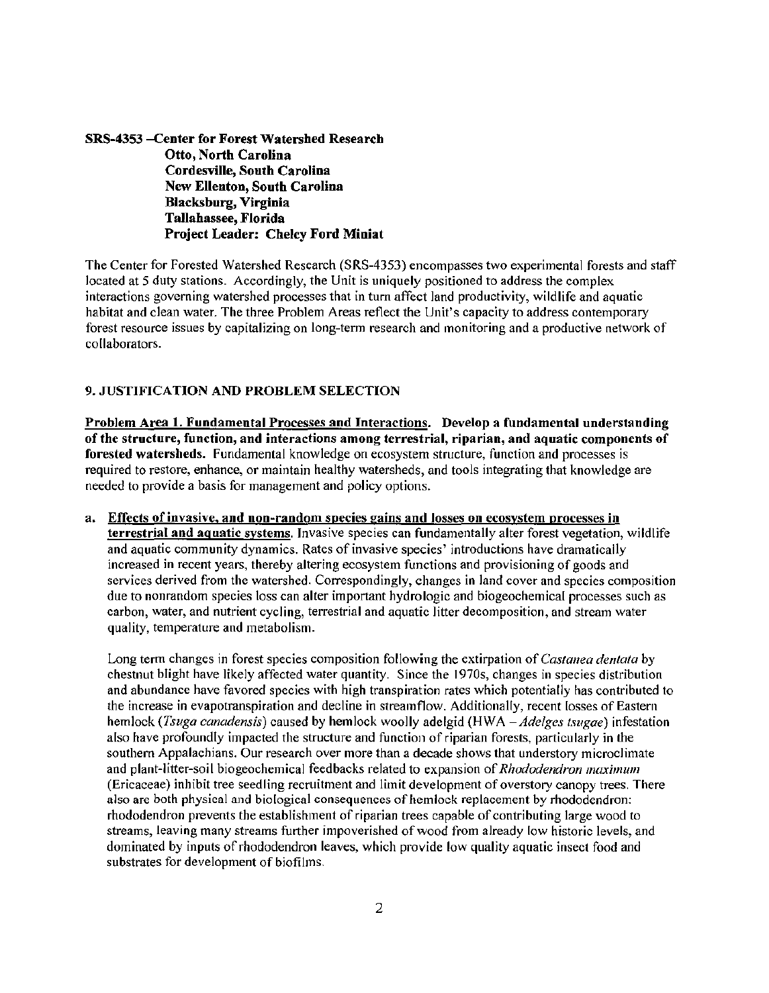SRS-4353 -Center for Forest Watershed Research Otto, North Carolina Cordesville, South Carolina New Ellenton, South Carolina Blacksburg, Virginia Tallahassee, Florida Project Leader: Chelcy Ford Miniat

The Center for Forested Watershed Research (SRS-4353) encompasses two experimental forests and staff located at 5 duty stations. Accordingly, the Unit is uniquely positioned to address the complex interactions governing watershed processes that in turn affect land productivity, wildlife and aquatic habitat and clean water. The three Problem Areas reflect the Unit's capacity to address contemporary forest resource issues by capitalizing on long-term research and monitoring and a productive network of collaborators.

### 9. JUSTIFICATION AND PROBLEM SELECTION

Problem Area 1. Fundamental Processes and Interactions. Develop a fundamental understanding of the structure, function, and interactions among terrestrial, riparian, and aquatic components of forested watersheds. Fundamental knowledge on ecosystem structure, function and processes is required to restore, enhance, or maintain healthy watersheds, and tools integrating that knowledge are needed to provide a basis for management and policy options.

a. Effects of invasive, and non-random species gains and losses on ecosystem processes in terrestrial and aquatic systems. Invasive species can fundamentally alter forest vegetation, wildlife and aquatic community dynamics. Rates of invasive species' introductions have dramatically increased in recent years, thereby altering ecosystem functions and provisioning of goods and services derived from the watershed. Correspondingly, changes in land cover and species composition due to nonrandom species loss can alter important hydrologic and biogeochemical processes such as carbon, water, and nutrient cycling, terrestrial and aquatic litter decomposition, and stream water quality, temperature and metabolism.

Long term changes in forest species composition following the extirpation of *C'astanea dentala* by chestnut blight have likely affected water quantity. Since the 1970s, changes in species distribution and abundance have favored species with high transpiration rates which potentially has contributed to the increase in evapotranspiration and decline in streamflow. Additionally, recent losses of Eastern hemlock *(Tsuga canadensis)* caused by hemlock woolly adelgid (HWA *-Adelges tsugae)* infestation also have profoundly impacted the structure and function of riparian forests, particularly in the southern Appalachians. Our research over more than a decade shows that understory microclimate and plant-litter-soil biogeochemical feedbacks related to expansion of *Rhododendron maximum* (Ericaceae) inhibit tree seedling recruitment and limit development of overstory canopy trees. There also are both physical and biological consequences of hemlock replacement by rhododendron: rhododendron prevents the establishment of riparian trees capable of contributing large wood to streams, leaving many streams further impoverished of wood from already low historic levels, and dominated by inputs of rhododendron leaves, which provide low quality aquatic insect food and substrates for development of biofilms.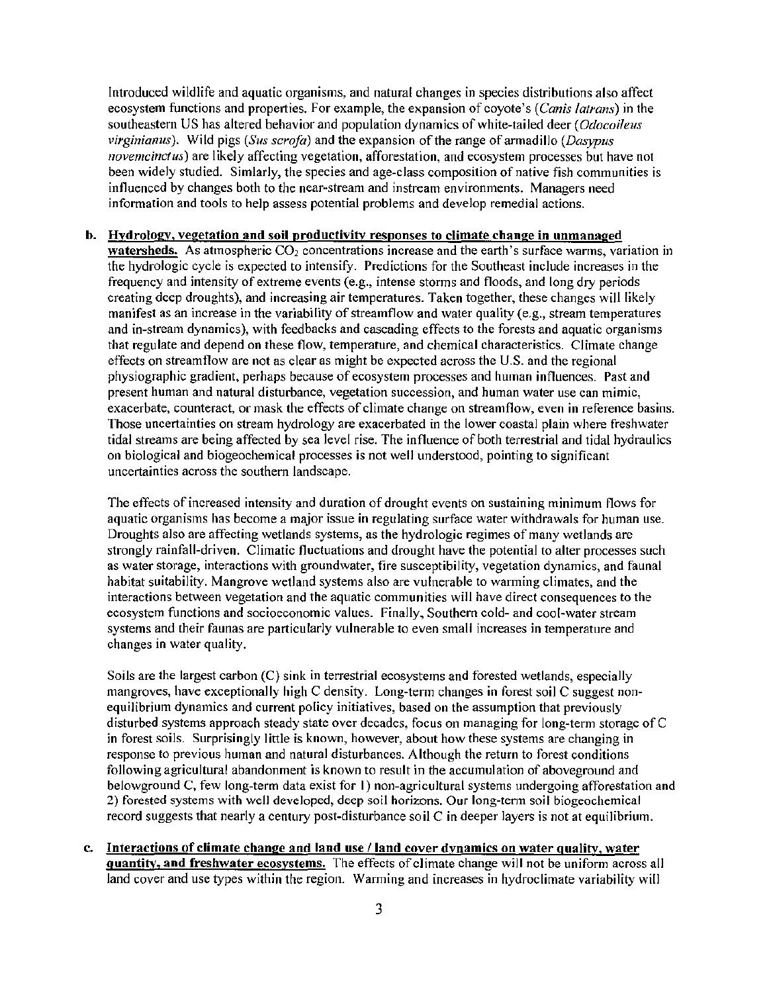Introduced wildlife and aquatic organisms, and natural changes in species distributions also affect ecosystem functions and properties. For example, the expansion of coyote's *(C'anis latrans)* in the southeastern US has altered behavior and population dynamics of white-tailed deer ( *Odocuileus virginianus*). Wild pigs *(Sus scrofa)* and the expansion of the range of armadillo *(Dasypus*) *novemcinctus*) are likely affecting vegetation, afforestation, and ecosystem processes but have not been widely studied. Simlarly, the species and age-class composition of native fish communities is influenced by changes both to the near-stream and instream environments. Managers need information and tools to help assess potential problems and develop remedial actions.

#### b. Hydrology, vegetation and soil productivity responses to climate change in unmanaged

watersheds. As atmospheric  $CO<sub>2</sub>$  concentrations increase and the earth's surface warms, variation in the hydrologic cycle is expected to intensify. Predictions for the Southeast include increases in the frequency and intensity of extreme events (e.g., intense storms and floods, and long dry periods creating deep droughts), and increasing air temperatures. Taken together, these changes will likely manifest as an increase in the variability of streamflow and water quality (e.g., stream temperatures and in-stream dynamics), with feedbacks and cascading effects to the forests and aquatic organisms that regulate and depend on these flow, temperature, and chemical characteristics. Climate change effects on streamflow are not as clear as might be expected across the U.S. and the regional physiographic gradient, perhaps because of ecosystem processes and human influences. Past and present human and natural disturbance, vegetation succession, and human water use can mimic, exacerbate, counteract, or mask the effects of climate change on streamflow, even in reference basins. Those uncertainties on stream hydrology are exacerbated in the lower coastal plain where freshwater tidal streams are being affected by sea level rise. The influence of both terrestrial and tidal hydraulics on biological and biogeochemical processes is not well understood, pointing to significant uncertainties across the southern landscape.

The effects of increased intensity and duration of drought events on sustaining minimum flows for aquatic organisms has become a major issue in regulating surface water withdrawals for human use. Droughts also are affecting wetlands systems, as the hydrologic regimes of many wetlands are strongly rainfall-driven. Climatic fluctuations and drought have the potential to alter processes such as water storage, interactions with groundwater, fire susceptibility, vegetation dynamics, and faunal habitat suitability. Mangrove wetland systems also are vulnerable to warming climates, and the interactions between vegetation and the aquatic communities will have direct consequences to the ecosystem functions and socioeconomic values. Finally, Southern cold- and cool-water stream systems and their faunas are particularly vulnerable to even small increases in temperature and changes in water quality.

Soils are the largest carbon (C) sink in terrestrial ecosystems and forested wetlands, especially mangroves, have exceptionally high C density. Long-term changes in forest soil C suggest nonequilibrium dynamics and current policy initiatives, based on the assumption that previously disturbed systems approach steady state over decades, focus on managing for long-term storage of C in forest soils. Surprisingly little is known, however, about how these systems are changing in response to previous human and natural disturbances. Although the return to forest conditions following agricultural abandonment is known to result in the accumulation of aboveground and belowground C, few long-term data exist for I) non-agricultural systems undergoing afforestation and 2) forested systems with well developed, deep soil horizons. Our long-tenn soil biogeochemical record suggests that nearly a century post-disturbance soil C in deeper layers is not at equilibrium.

c. Interactions of climate change and land use / land cover dynamics on water quality, water quantity, and freshwater ecosystems. The effects of climate change will not be uniform across all land cover and use types within the region. Warming and increases in hydroclimate variability will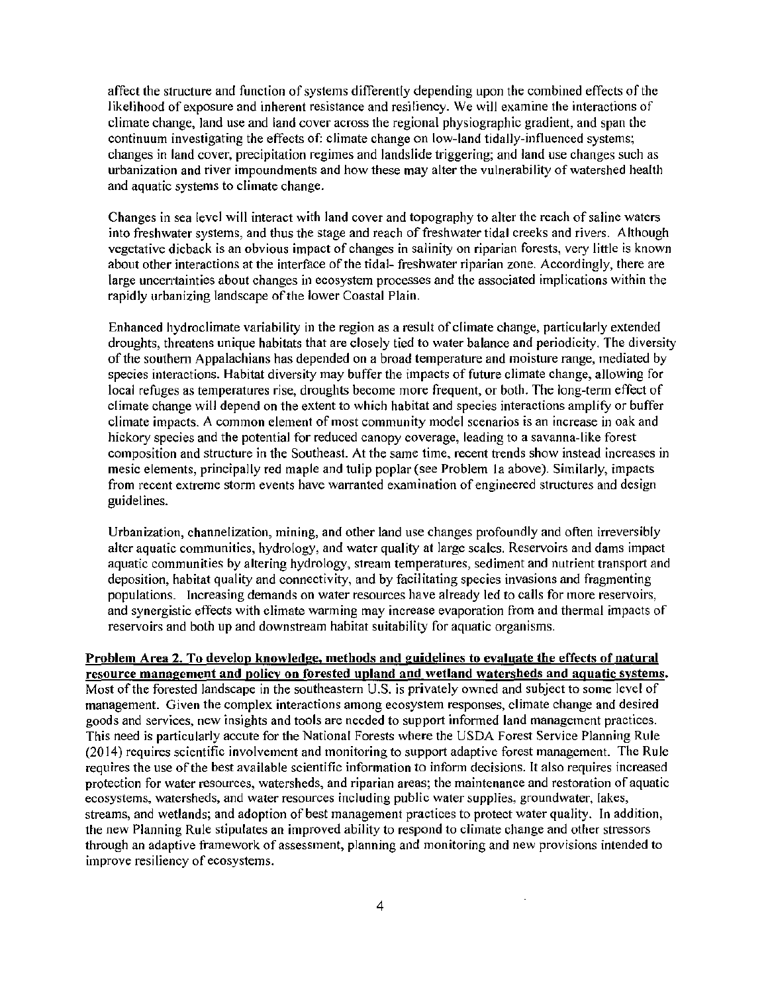affect the structure and function of systems differently depending upon the combined effects of the likelihood of exposure and inherent resistance and resiliency. We will examine the interactions of climate change, land use and land cover across the regional physiographic gradient, and span the continuum investigating the effects of: climate change on low-land tidally-influenced systems; changes in land cover, precipitation regimes and landslide triggering; and land use changes such as urbanization and river impoundments and how these may alter the vulnerability of watershed health and aquatic systems to climate change.

Changes in sea level will interact with land cover and topography to alter the reach of saline waters into freshwater systems, and thus the stage and reach of freshwater tidal creeks and rivers. Although vegetative dieback is an obvious impact of changes in salinity on riparian forests, very little is known about other interactions at the interface of the tidal- freshwater riparian zone. Accordingly, there are large uncerrtainties about changes in ecosystem processes and the associated implications within the rapidly urbanizing landscape of the lower Coastal Plain.

Enhanced hydroclimate variability in the region as a result of climate change, particularly extended droughts, threatens unique habitats that are closely tied to water balance and periodicity. The diversity of the southern Appalachians has depended on a broad temperature and moisture range, mediated by species interactions. Habitat diversity may buffer the impacts of future climate change, allowing for local refuges as temperatures rise, droughts become more frequent, or both. The long-term effect of climate change will depend on the extent to which habitat and species interactions amplify or buffer climate impacts. A common element of most community model scenarios is an increase in oak and hickory species and the potential for reduced canopy coverage, leading to a savanna-like forest composition and structure in the Southeast. At the same time, recent trends show instead increases in mesic elements, principally red maple and tulip poplar (see Problem 1a above). Similarly, impacts from recent extreme storm events have warranted examination of engineered structures and design guidelines.

Urbanization, channelization, mining, and other land use changes profoundly and often irreversibly alter aquatic communities, hydrology, and water quality at large scales. Reservoirs and dams impact aquatic communities by altering hydrology, stream temperatures, sediment and nutrient transport and deposition, habitat quality and connectivity, and by facilitating species invasions and fragmenting populations. Increasing demands on water resources have already led to calls for tnore reservoirs, and synergistic effects with climate warming may increase evaporation from and thermal impacts of reservoirs and both up and downstream habitat suitability for aquatic organisms.

## Problem Area 2. To develop knowledge, methods and guidelines to evaluate the effects of natural resource management and policy on forested upland and wetland watersheds and aquatic systems. Most of the forested landscape in the southeastern  $U.S.$  is privately owned and subject to some level of management. Given the complex interactions among ecosystem responses, climate change and desired goods and services, new insights and tools are needed to support informed land management practices. This need is particularly accute for the National Forests where the USDA Forest Service Planning Rule  $(2014)$  requires scientific involvement and monitoring to support adaptive forest management. The Rule requires the use of the best available scientific information to infonn decisions. It also requires increased protection for water resources, watersheds, and riparian areas; the maintenance and restoration of aquatic ecosystems, watersheds, and water resources including public water supplies, groundwater, lakes, streams, and wetlands; and adoption of best management practices to protect water quality. In addition, the new Planning Rule stipulates an improved ability to respond to climate change and other stressors through an adaptive framework of assessment, planning and monitoring and new provisions intended to improve resiliency of ecosystems.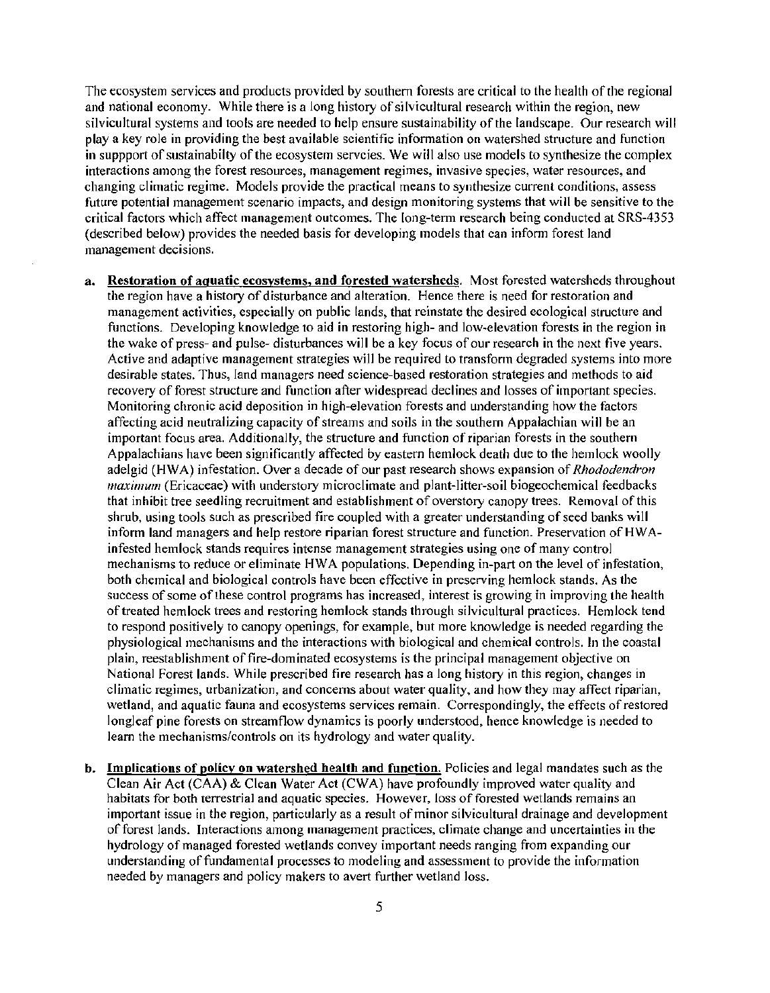The ecosystem services and products provided by southern forests are critical to the health of the regional and national economy. While there is a long history of silvicultural research within the region, new silvicultural systems and tools are needed to help ensure sustainability of the landscape. Our research will play a key role in providing the best available scientific information on watershed structure and function in suppport of sustainabilty of the ecosystem servcies. We will also use models to synthesize the complex interactions among the forest resources, management regimes, invasive species, water resources, and changing cliinatic regime. Models provide the practical means to synthesize current conditions, assess future potential management scenario impacts, and design monitoring systems that will be sensitive to the critical factors which affect management outcomes. The long-term research being conducted at SRS-4353 (described below) provides the needed basis for developing 1nodels that can inform forest land management decisions.

- a. Restoration of aquatic ecosystems, and forested watersheds. Most forested watersheds throughout the region have a history of disturbance and alteration. Hence there is need for restoration and management activities, especially on public lands, that reinstate the desired ecological structure and functions. Developing knowledge to aid in restoring high- and low-elevation forests in the region in the wake of press- and pulse-disturbances will be a key focus of our research in the next five years. Active and adaptive management strategies will be required to transform degraded systems into more desirable states. Thus, land managers need science-based restoration strategies and methods to aid recovery of forest structure and function after widespread declines and losses of important species. Monitoring chronic acid deposition in high-elevation forests and understanding how the factors affecting acid neutralizing capacity of streams and soils in the southern Appalachian will be an important focus area. Additionally, the structure and function of riparian forests in the southern Appalachians have been significantly affected by eastern hemlock death due to the hemlock woolly adelgid (HWA) infestation. Over a decade of our past research shows expansion of *Rhododendron*  maximum (Ericaceae) with understory microclimate and plant-litter-soil biogeochemical feedbacks that inhibit tree seedling recruitment and establishment of overstory canopy trees. Removal of this shrub, using tools such as prescribed fire coupled with a greater understanding of seed banks will inform land managers and help restore riparian forest structure and function. Preservation of HWAinfested hemlock stands requires intense management strategies using one of many control mechanisms to reduce or eliminate HWA populations. Depending in-part on the level of infestation, both chemical and biological controls have been effective in preserving hemlock stands. As the success of some of these control programs has increased, interest is growing in improving the health of treated hemlock trees and restoring hemlock stands through silvicultural practices. Hemlock tend to respond positively to canopy openings, for example, but more knowledge is needed regarding the physiological mechanisms and the interactions with biological and chemical controls. In the coastal plain, reestablishment of fire-dominated ecosystems is the principal management objective on National Forest lands. While prescribed fire research has a long history in this region, changes in climatic regimes, urbanization, and concerns about water quality, and how they may affect riparian, wetland, and aquatic fauna and ecosystems services remain. Correspondingly, the effects of restored longleaf pine forests on streamflow dynamics is poorly understood, hence knowledge is needed to learn the mechanisms/controls on its hydrology and water quality.
- b. Implications of policy on watershed health and function. Policies and legal mandates such as the Clean Air Act (CAA) & Clean Water Act (CWA) have profoundly improved water quality and habitats for both terrestrial and aquatic species. However, loss of forested wetlands remains an important issue in the region, particularly as a result of minor silvicultural drainage and development of forest lands. Interactions among management practices, climate change and uncertainties in the hydrology of managed forested wetlands convey important needs ranging from expanding our understanding of fundamental processes to modeling and assessment to provide the information needed by managers and policy makers to avert further wetland loss.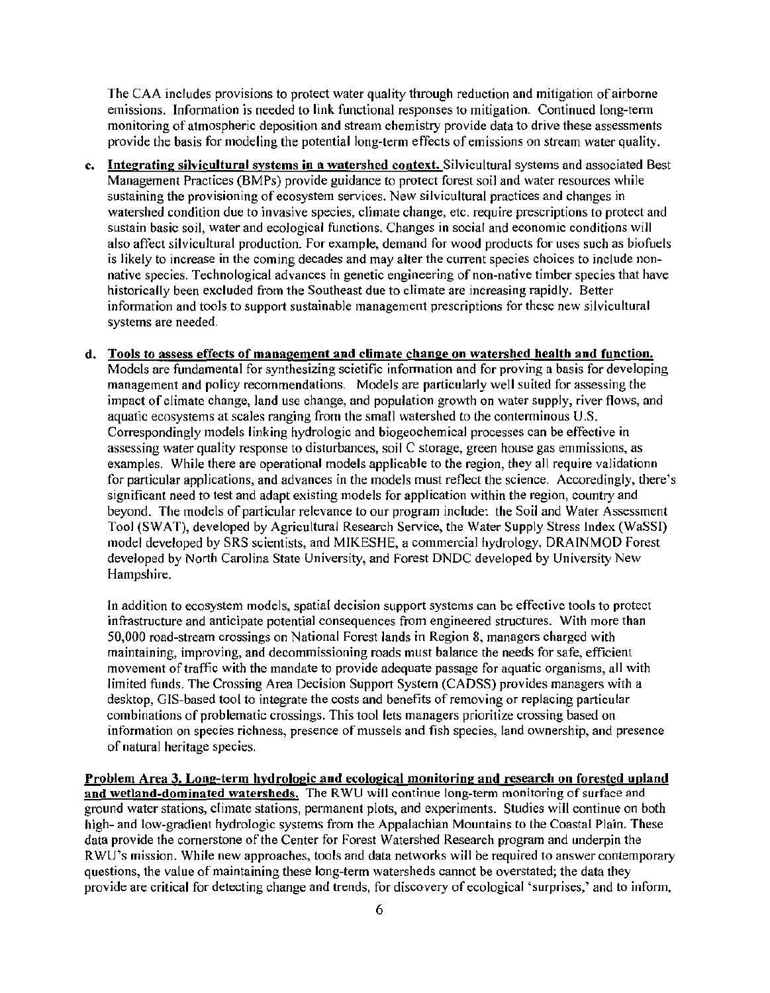The CAA includes provisions to protect water quality through reduction and mitigation of airborne emissions. Infonnation is needed to link functional responses to mitigation. Continued long-term monitoring of atmospheric deposition and stream chemistry provide data to drive these assessments provide the basis for modeling the potential long-term effects of emissions on stream water quality.

- c. Integrating silvicultural systems in a watershed context. Silvicultural systems and associated Best Management Practices (BMPs) provide guidance to protect forest soil and water resources while sustaining the provisioning of ecosystem services. New silvicultural practices and changes in watershed condition due to invasive species, climate change, etc. require prescriptions to protect and sustain basic soil, water and ecological functions. Changes in social and economic conditions will also affect silvicultural production. For example, demand for wood products for uses such as biofuels is likely to increase in the coming decades and may alter the current species choices to include nonnative species. Technological advances in genetic engineering of non-native timber species that have historically been excluded from the Southeast due to climate are increasing rapidly. Better information and tools to support sustainable management prescriptions for these new silvicultural systems are needed.
- d. Tools to assess effects of management and climate change on watershed health and function. Models are fundamental for synthesizing scietific information and for proving a basis for developing management and policy recommendations. Models are particularly well suited for assessing the impact of climate change, land use change, and population growth on water supply, river flows, and aquatic ecosystems at scales ranging frorn the small watershed to the conterminous U.S. Correspondingly 1nodels linking hydrologic and biogeochemical processes can be effective in assessing water quality response to disturbances, soil C storage, green house gas emmissions, as examples. While there are operational models applicable to the region, they all require validationn for particular applications, and advances in the models must reflect the science. Accoredingly, there's significant need to test and adapt existing models for application within the region, country and beyond. The models of particular relevance to our program include: the Soil and Water Assessment Tool (SW AT), developed by Agricultural Research Service, the Water Supply Stress Index (WaSSI) model developed by SRS scientists, and MIKESHE, a commercial hydrology, DRAINMOD Forest developed by North Carolina State University, and Forest DNDC developed by University New Hampshire.

In addition to ecosystem models, spatial decision support systems can be effective tools to protect infrastructure and anticipate potential consequences from engineered structures. With more than 50,000 road-stream crossings on National Forest lands in Region 8, managers charged with maintaining, improving, and decommissioning roads must balance the needs for safe, efficient movement of traffic with the mandate to provide adequate passage for aquatic organisms, all with limited funds. The Crossing Area Decision Support System (CADSS) provides managers with a desktop, GIS-based tool to integrate the costs and benefits of removing or replacing particular combinations of problematic crossings. This tool lets managers prioritize crossing based on information on species richness, presence of mussels and fish species, land ownership, and presence of natural heritage species.

Problem Area 3. Long-term hydrologic and ecological monitoring and research on forested upland and wetland-dominated watersheds. The RWU will continue long-term monitoring of surface and ground water stations, cliinate stations, pennanent plots, and experiments. Studies will continue on both high- and low-gradient hydrologic systems from the Appalachian Mountains to the Coastal Plain. These data provide the cornerstone of the Center for Forest Watershed Research program and underpin the RWU's mission. While new approaches, tools and data networks will be required to answer contemporary questions, the value of maintaining these long-term watersheds cannot be overstated; the data they provide are critical for detecting change and trends, for discovery of ecological 'surprises,' and to inform,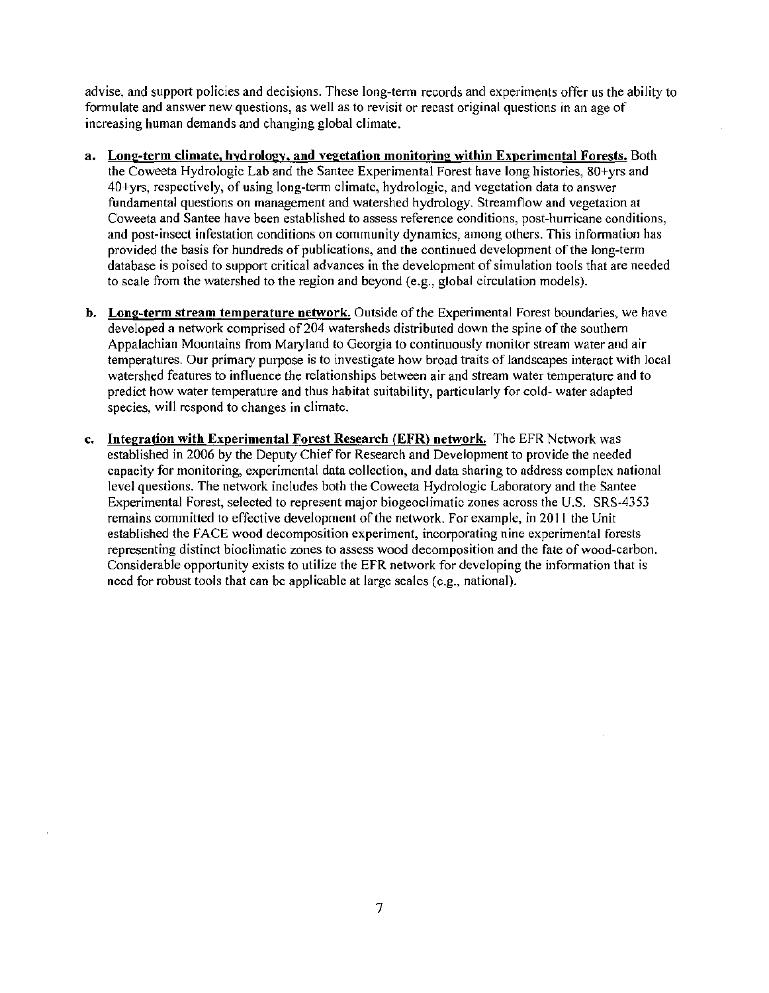advise, and support policies and decisions. These long-term records and experiments offer us the ability to formulate and answer new questions, as well as to revisit or recast original questions in an age of increasing human demands and changing global climate.

- a. Long-term climate, hydrology, and vegetation monitoring within Experimental Forests. Both the Coweeta Hydrologic Lab and the Santee Experimental Forest have long histories, 80+yrs and 40+yrs, respectively, of using long-term climate, hydro logic, and vegetation data to answer fundamental questions on management and watershed hydrology. Streamflow and vegetation at Coweeta and Santee have been established to assess reference conditions, post-hurricane conditions, and post-insect infestation conditions on community dynamics, among others. This information has provided the basis for hundreds of publications, and the continued development of the long-term database is poised to support critical advances in the development of simulation tools that are needed to scale from the watershed to the region and beyond (e.g., global circulation models).
- b. Long-term stream temperature network. Outside of the Experimental Forest boundaries, we have developed a network comprised of 204 watersheds distributed down the spine of the southern Appalachian Mountains from Maryland to Georgia to continuously monitor stream water and air temperatures. Our primary purpose is to investigate how broad traits of landscapes interact with local watershed features to influence the relationships between air and stream water temperature and to predict how water temperature and thus habitat suitability, particularly for cold- water adapted species, will respond to changes in climate.
- c. Integration with Experimental Forest Research (EFR) network. The EFR Network was established in 2006 by the Deputy Chief for Research and Development to provide the needed capacity for monitoring, experimental data collection, and data sharing to address complex national level questions. The network includes both the Coweeta Hydrologic Laboratory and the Santee Experimental Forest, selected to represent major biogeoclimatic zones across the U.S. SRS-4353 remains committed to effective development of the network. For example, in 2011 the Unit established the FACE wood decomposition experiment, incorporating nine experimental forests representing distinct bioclimatic zones to assess wood decomposition and the fate of wood-carbon. Considerable opportunity exists to utilize the EFR network for developing the information that is need for robust tools that can be applicable at large scales (e.g., national).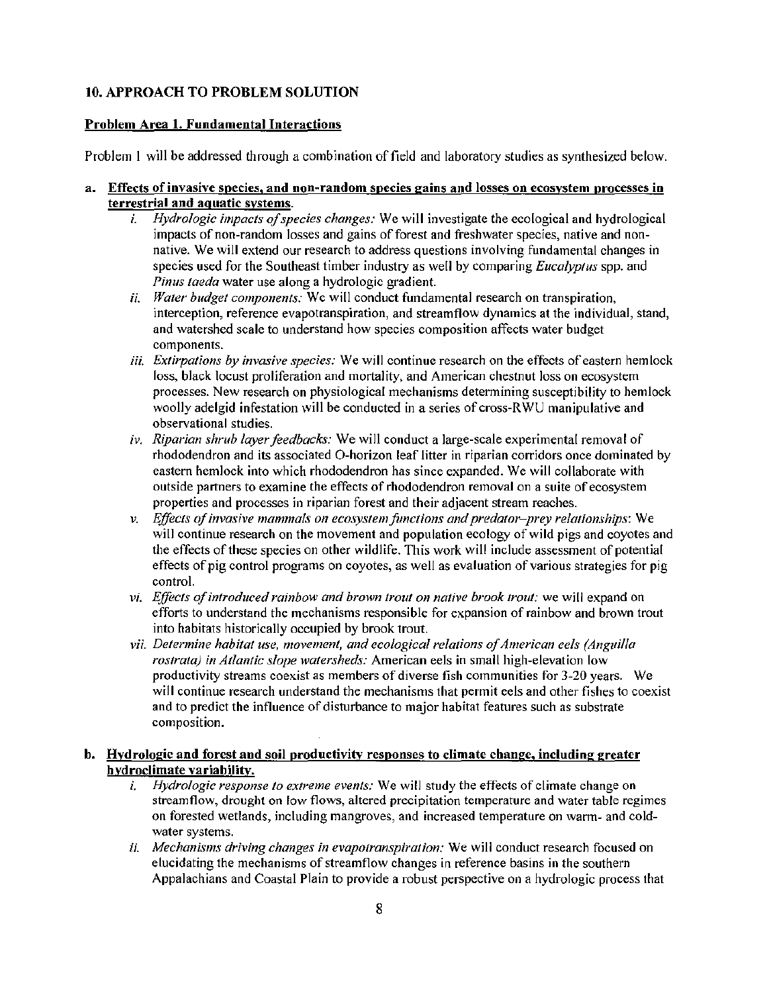# JO. APPROACH TO PROBLEM SOLUTION

## Problem Area 1. Fundamental Interactions

Problem I will be addressed through a combination of field and laboratory studies as synthesized below.

## a. Effects of invasive species, and non-random species gains and losses on ecosystem processes in terrestrial and aquatic systems.

- i. *Hydrologic impacts of species changes:* We will investigate the ecological and hydrological impacts of non-random losses and gains of forest and freshwater species, native and nonnative. We will extend our research to address questions involving fundamental changes in species used for the Southeast timber industry as well by comparing *Eucalyplus* spp. and *Pinus taeda* water use along a hydrologic gradient.
- *ii. Water budget components:* We will conduct fundamental research on transpiration, interception, reference evapotranspiration, and streamflow dynamics at the individual, stand, and watershed scale to understand how species composition affects water budget components.
- *iii. Extirpations by invasive species:* We will continue research on the effects of eastern hemlock loss, black locust proliferation and mortality, and American chestnut loss on ecosystem processes. New research on physiological mechanisms determining susceptibility to hemlock woolly adelgid infestation will be conducted in a series of cross-RWU manipulative and observational studies.
- *iv. Riparian shrub layer feedbacks:* We will conduct a large-scale experimental removal of rhododendron and its associated O-horizon leaf litter in riparian corridors once dominated by eastern hemlock into which rhododendron has since expanded. We will collaborate with outside partners to examine the effects of rhododendron removal on a suite of ecosystem properties and processes in riparian forest and their adjacent stream reaches.
- *v. Effects of invasive mammals on ecosystem functions and predator-prey relationships:* We will continue research on the movement and population ecology of wild pigs and coyotes and the effects of these species on other wildlife. This work will include assessment of potential effects of pig control programs on coyotes, as well as evaluation of various strategies for pig control.
- *vi. Effects of introduced rainbow and brown trout on native brook trout:* we will expand on efforts to understand the mechanisms responsible for expansion of rainbow and brown trout into habitats historically occupied by brook trout.
- vii. Determine habitat use, movement, and ecological relations of American eels (Anguilla *rostrata) in Atlantic slope watersheds:* American eels in small high-elevation low productivity streams coexist as members of diverse fish communities for 3-20 years. We will continue research understand the mechanisms that permit eels and other fishes to coexist and to predict the influence of disturbance to major habitat features such as substrate composition.

# b. Hydrologic and forest and soil productivity responses to climate change, including greater hydroclimate variability.

- *i. Hydrologic response to extreme events:* We will study the effects of climate change on streamflow, drought on low flows, altered precipitation temperature and water table regimes on forested wetlands, including mangroves, and increased temperature on warm- and coldwater systems.
- *ii. Mechanisms driving changes in evapotranspiration:* We will conduct research focused on elucidating the mechanisms of streamflo\v changes in reference basins in the southern Appalachians and Coastal Plain to provide a robust perspective on a hydrologic process that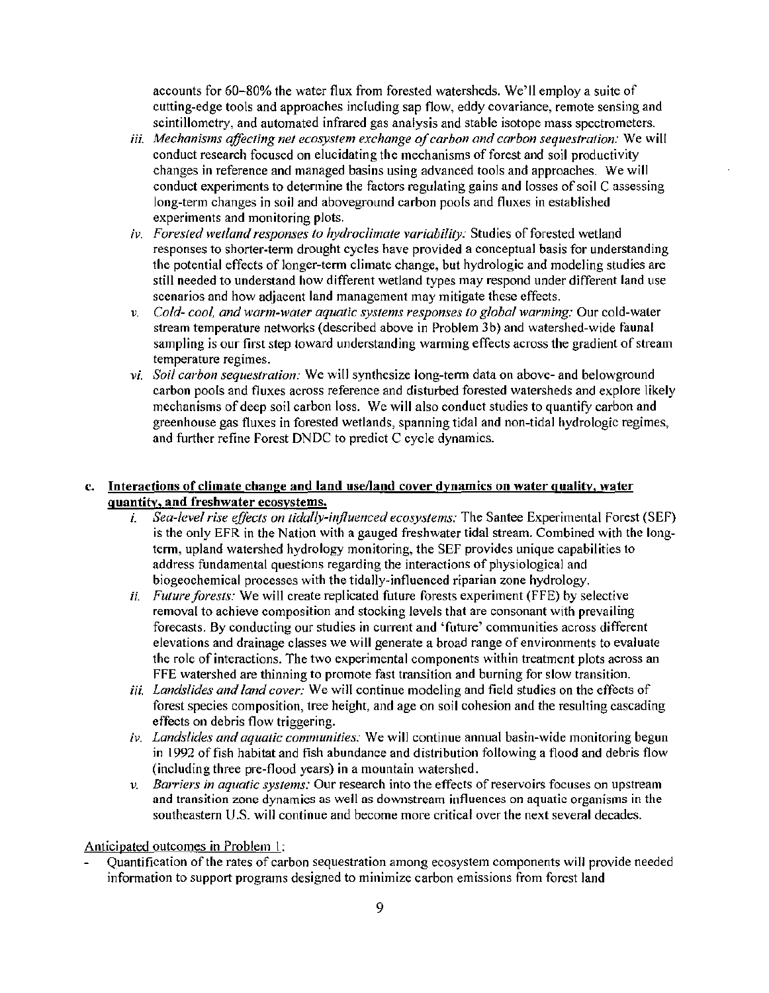accounts for 60-80% the water flux from forested watersheds. We'll employ a suite of cutting-edge tools and approaches including sap flow, eddy covariance, remote sensing and scintillometry, and automated infrared gas analysis and stable isotope mass spectrometers.

- *iii. Mechanisms affecting net ecosystem exchange of carbon and carbon sequestration:* We will conduct research focused on elucidating the mechanisms of forest and soil productivity changes in reference and managed basins using advanced tools and approaches. We will conduct experiments to detennine the factors regulating gains and losses of soil C assessing long-term changes in soil and aboveground carbon pools and fluxes in established experiments and monitoring plots.
- *iv. Forested wetland responses to hydroclimate variability:* Studies of forested wetland responses to shorter-tenn drought cycles have provided a conceptual basis for understanding the potential effects of longer-term climate change, but hydrologic and modeling studies are still needed to understand how different wetland types may respond under different land use scenarios and how adjacent land management may mitigate these effects.
- *v. Cold- cool, and warm-water aquatic systems responses to global warming: Our cold-water* stream temperature networks (described above in Problem 3b) and watershed-wide faunal sampling is our first step toward understanding warming effects across the gradient of stream temperature regimes.
- *vi. Soil carbon sequestration:* We will synthesize long-tenn data on above- and belowground carbon pools and fluxes across reference and disturbed forested watersheds and explore likely mechanisms of deep soil carbon loss. We will also conduct studies to quantify carbon and greenhouse gas fluxes in forested wetlands, spanning tidal and non-tidal hydrologic regimes, and further refine Forest DNDC to predict C cycle dynamics.

# c. Interactions of climate change and land use/land cover dynamics on water quality, water quantity, and freshwater ecosystems.

- *i. Sea-level rise effects on tidally-influenced ecosystems:* The Santee Experimental Forest (SEF) is the only EFR in the Nation with a gauged freshwater tidal stream. Combined with the longterm, upland watershed hydrology monitoring, the SEF provides unique capabilities to address fundamental questions regarding the interactions of physiological and biogeochemical processes with the tidally-influenced riparian zone hydrology.
- *ii. Future forests:* We will create replicated future forests experiment (FFE) by selective removal to achieve composition and stocking levels that are consonant with prevailing forecasts. By conducting our studies in current and 'future' communities across different elevations and drainage classes we will generate a broad range of environments to evaluate the role of interactions. The two experimental components within treatment plots across an FFE watershed are thinning to promote fast transition and burning for slow transition.
- *iii. Landslides and land cover:* We will continue modeling and field studies on the effects of forest species composition, tree height, and age on soil cohesion and the resulting cascading effects on debris flow triggering.
- *iv. Landslides and aquatic communities:* We will continue annual basin-wide monitoring begun in 1992 offish habitat and fish abundance and distribution following a flood and debris flow (including three pre-flood years) in a mountain watershed.
- *v. Barriers in aquatic systems:* Our research into the effects of reservoirs focuses on upstream and transition zone dynamics as well as downstream influences on aquatic organisms in the southeastern U.S. will continue and become more critical over the next several decades.

## Anticipated outcomes in Problem 1:

Quantification of the rates of carbon sequestration among ecosystem components will provide needed information to support programs designed to minimize carbon emissions from forest land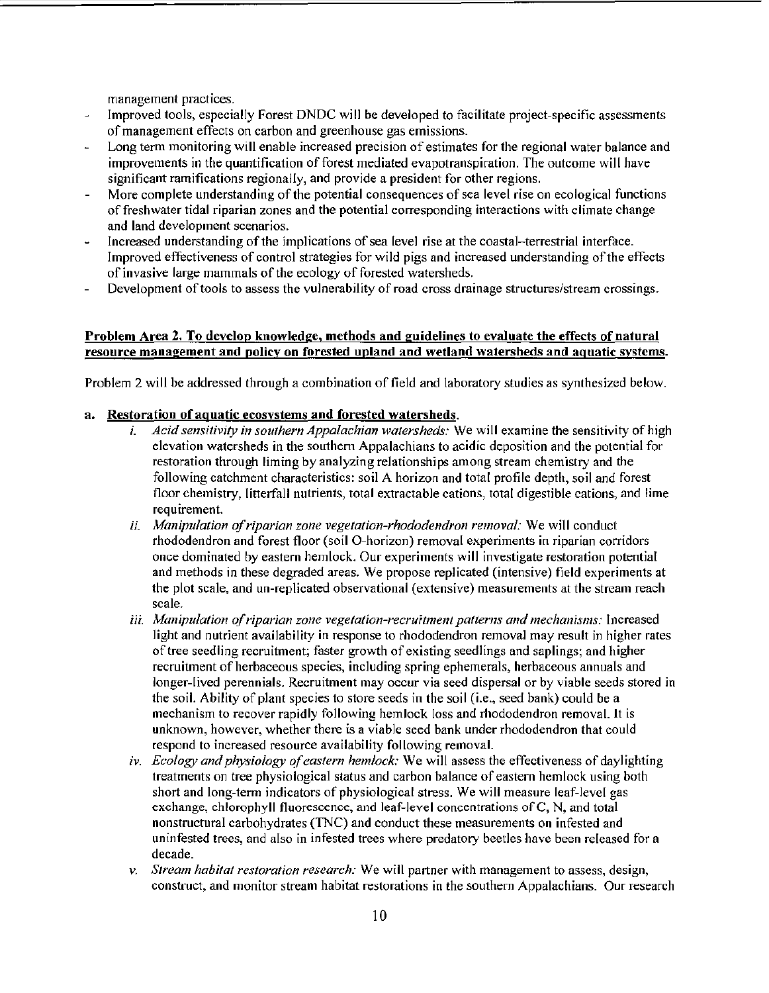management practices.

- Improved tools, especially Forest DNDC will be developed to facilitate project-specific assessments  $\overline{a}$ of management effects on carbon and greenhouse gas emissions.
- Long term monitoring will enable increased precision of estimates for the regional water balance and improvements in the quantification of forest mediated evapotranspiration. The outcome will have significant ramifications regionally, and provide a president for other regions.
- More complete understanding of the potential consequences of sea level rise on ecological functions of freshwater tidal riparian zones and the potential corresponding interactions with climate change and land development scenarios.
- Increased understanding of the implications of sea level rise at the coastal-terrestrial interface. Improved effectiveness of control strategies for wild pigs and increased understanding of the effects of invasive large mammals of the ecology of forested watersheds.
- Development of tools to assess the vulnerability of road cross drainage structures/stream crossings.

## Problem Area 2. To develop knowledge, methods and guidelines to evaluate the effects of natural resource management and policy on forested upland and wetland watersheds and aquatic systems.

Problem 2 will be addressed through a combination of field and laboratory studies as synthesized below.

### a. Restoration of aquatic ecosystems and forested watersheds.

- i. *Acid sensitivity in southern Appalachian watersheds:* We will examine the sensitivity of high elevation watersheds in the southern Appalachians to acidic deposition and the potential for restoration through liming by analyzing relationships among stream chemistry and the following catchment characteristics: soil A horizon and total profile depth, soil and forest floor chemistry, litterfall nutrients, total extractable cations, total digestible cations, and lime requirement.
- *ii. Manipulation of riparian zone vegetation-rhododendron removal:* We will conduct rhododendron and forest floor (soil O-horizon) removal experiments in riparian corridors once dominated by eastern hemlock. Our experiments will investigate restoration potential and methods in these degraded areas. We propose replicated (intensive) field experiments at the plot scale, and un-replicated observational (extensive) measurements at the stream reach scale.
- iii. *Manipulation of riparian zone vegetation-recruitment patterns and mechanisms:* Increased light and nutrient availability in response to rhododendron removal may result in higher rates of tree seedling recruitment; faster growth of existing seedlings and saplings; and higher recruitment of herbaceous species, including spring ephemerals, herbaceous annuals and longer-lived perennials. Recruitment may occur via seed dispersal or by viable seeds stored in the soil. Ability of plant species to store seeds in the soil (i.e., seed bank) could be a mechanism to recover rapidly following hemlock loss and rhododendron removal. It is unknown, however, whether there is a viable seed bank under rhododendron that could respond to increased resource availability following removal.
- *iv. Ecology and physiology of eastern hemlock*: We will assess the effectiveness of daylighting treatments on tree physiological status and carbon balance of eastern hemlock using both short and long-term indicators of physiological stress. We will measure leaf-level gas exchange, chlorophyll fluorescence, and leaf-level concentrations ofC, N, and total nonstructural carbohydrates (TNC) and conduct these measurements on infested and uninfested trees, and also in infested trees where predatory beetles have been released for a decade.
- *v. Stream habitat restoration research:* We will partner with management to assess, design, construct, and monitor stream habitat restorations in the southern Appalachians. Our research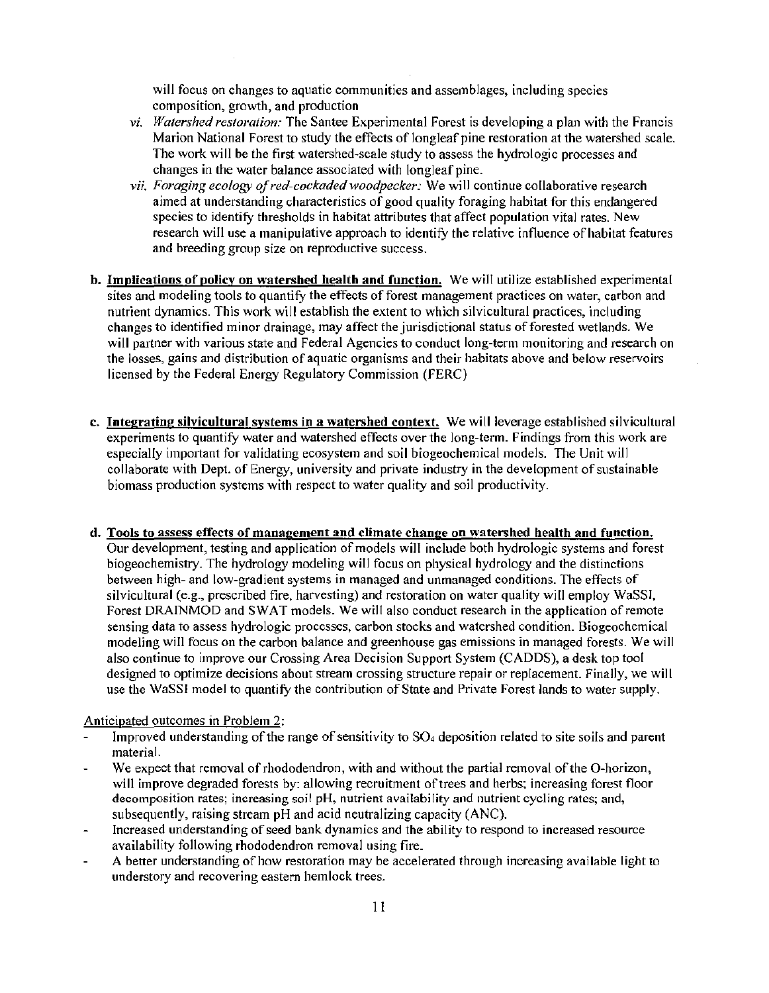will focus on changes to aquatic communities and assemblages, including species composition, growth, and production

- *vi. Watershed restoration:* The Santee Experimental Forest is developing a plan with the Francis Marion National Forest to study the effects of longleaf pine restoration at the watershed scale. The work will be the first watershed-scale study to assess the hydrologic processes and changes in the water balance associated with longleaf pine.
- *vii. Foraging ecology of red-cockaded woodpecker:* We will continue collaborative research aimed at understanding characteristics of good quality foraging habitat for this endangered species to identify thresholds in habitat attributes that affect population vital rates. New research will use a manipulative approach to identify the relative influence of habitat features and breeding group size on reproductive success.
- b. Implications of policy on watershed health and function. We will utilize established experimental sites and modeling tools to quantify the effects of forest management practices on water, carbon and nutrient dynamics. This work will establish the extent to which silvicultural practices, including changes to identified minor drainage, 1nay affect the jurisdictional status of forested wetlands. We will partner with various state and Federal Agencies to conduct long-term monitoring and research on the losses, gains and distribution of aquatic organisms and their habitats above and below reservoirs licensed by the Federal Energy Regulatory Commission (FERC)
- c. Integrating silvicultural systems in a watershed context. We will leverage established silvicultural experiments to quantify water and watershed effects over the long-term. Findings from this work are especially important for validating ecosystem and soil biogeochemical models. The Unit will collaborate with Dept. of Energy, university and private industry in the development of sustainable biomass production systems with respect to water quality and soil productivity.
- d. Tools to assess effects of management and climate change on watershed health and function. Our development, testing and application of models will include both hydrologic systems and forest biogeochemistry. The hydrology modeling will focus on physical hydrology and the distinctions between high- and low-gradient systems in managed and unmanaged conditions. The effects of silvicultural (e.g., prescribed fire, harvesting) and restoration on water quality will employ WaSSI, Forest DRAINMOD and SWAT models. We will also conduct research in the application of remote sensing data to assess hydrologic processes, carbon stocks and watershed condition. Biogeochemical modeling will focus on the carbon balance and greenhouse gas emissions in managed forests. We will also continue to improve our Crossing Area Decision Support System (CADDS), a desk top tool designed to optimize decisions about strearn crossing structure repair or replacement. Finally, we will use the WaSSI model to quantify the contribution of State and Private Forest lands to water supply.

#### Anticipated outcomes in Problem 2:

- Improved understanding of the range of sensitivity to S04 deposition related to site soils and parent material.
- We expect that removal of rhododendron, with and without the partial removal of the O-horizon, will improve degraded forests by: allowing recruitment of trees and herbs; increasing forest floor decomposition rates; increasing soil pH, nutrient availability and nutrient cycling rates; and, subsequently, raising stream pH and acid neutralizing capacity (ANC).
- Increased understanding of seed bank dynamics and the ability to respond to increased resource availability following rhododendron removal using fire\_
- A better understanding of how restoration may be accelerated through increasing available light to  $\overline{a}$ understory and recovering eastern hemlock trees.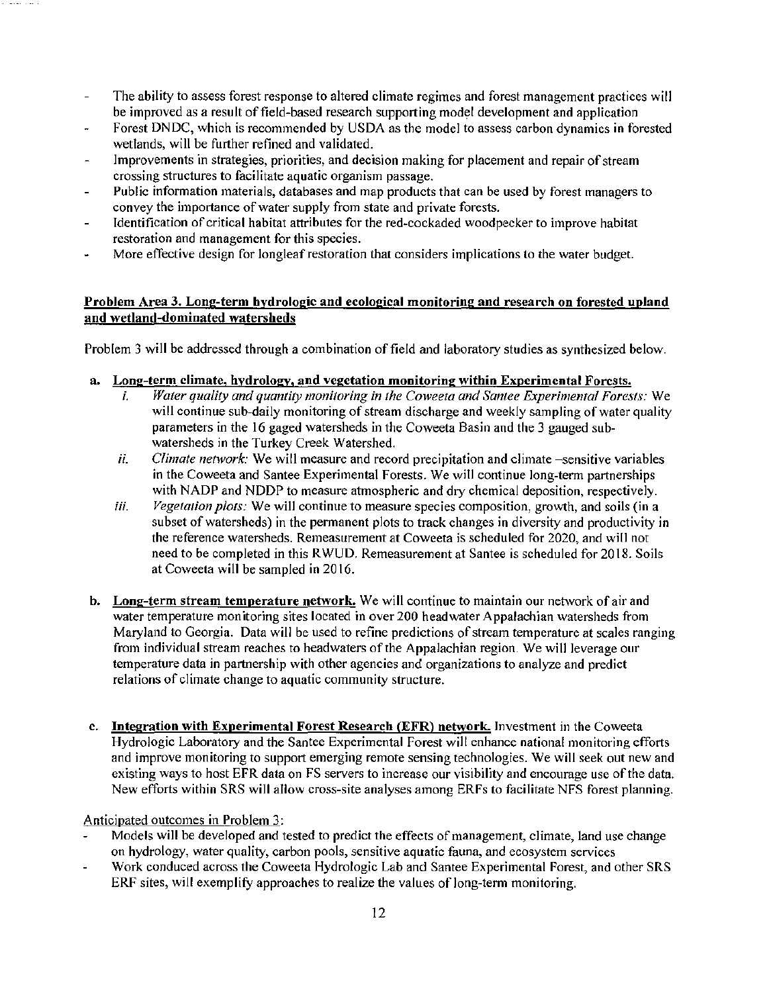- $\overline{a}$ The ability to assess forest response to altered climate regimes and forest management practices will be improved as a result of field-based research supporting model development and application
- Forest DNDC, which is recommended by USDA as the model to assess carbon dynamics in forested wetlands, will be further refined and validated.
- Improvements in strategies, priorities, and decision making for placement and repair of stream crossing structures to facilitate aquatic organism passage.
- Public information materials, databases and map products that can be used by forest managers to convey the importance of water supply from state and private forests.
- Identification of critical habitat attributes for the red-cockaded woodpecker to improve habitat restoration and management for this species.
- More effective design for longleaf restoration that considers implications to the water budget.

# Problem Area 3. Long-term bydrologic and ecological monitoring and research on forested upland and wetland-dominated watersheds

Problem 3 will be addressed through a combination of field and laboratory studies as synthesized below.

- a. Long-term climate, hydrology, and vegetation monitoring within Experimental Forests.
	- *i.* Water quality and quantity monitoring in the Coweeta and Santee Experimental Forests: We will continue sub-daily monitoring of stream discharge and weekly sampling of water quality parameters in the 16 gaged watersheds in the Coweeta Basin and the 3 gauged subwatersheds in the Turkey Creek Watershed.
	- *ii. Climate network:* We will measure and record precipitation and climate -sensitive variables in the Coweeta and Santee Experimental Forests. We will continue long-term partnerships with NADP and NDDP to measure atmospheric and dry chemical deposition, respectively.
	- *iii. Vegetation plots:* We will continue to measure species composition, growth, and soils (in a subset of watersheds) in the permanent plots to track changes in diversity and productivity in the reference watersheds. Remeasurement at Coweeta is scheduled for 2020, and will not need to be completed in this RWUD. Remeasurement at Santee is scheduled for 2018. Soils at Coweeta will be sampled in 2016.
- b. Long-term stream temperature network. We will continue to maintain our network of air and water temperature monitoring sites located in over 200 headwater Appalachian watersheds from Maryland to Georgia. Data will be used to refine predictions of stream temperature at scales ranging from individual stream reaches to headwaters of the Appalachian region. We will leverage our temperature data in partnership with other agencies and organizations to analyze and predict relations of climate change to aquatic community structure.
- c. Integration with Experimental Forest Research (EFR) network. Investment in the Coweeta Hydrologic Laboratory and the Santee Experimental Forest will enhance national monitoring efforts and improve monitoring to support emerging remote sensing technologies. We will seek out new and existing ways to host EFR data on FS servers to increase our visibility and encourage use of the data. New efforts within SRS will allow cross-site analyses among ERFs to facilitate NFS forest planning.

# Anticipated outcomes in Problem 3:

- Models will be developed and tested to predict the effects of management, climate, land use change on hydrology, water quality, carbon pools, sensitive aquatic fauna, and ecosystem services
- Work conduced across the Coweeta Hydrologic Lab and Santee Experimental Forest, and other SRS ERF sites, will exemplify approaches to realize the values of long-term monitoring.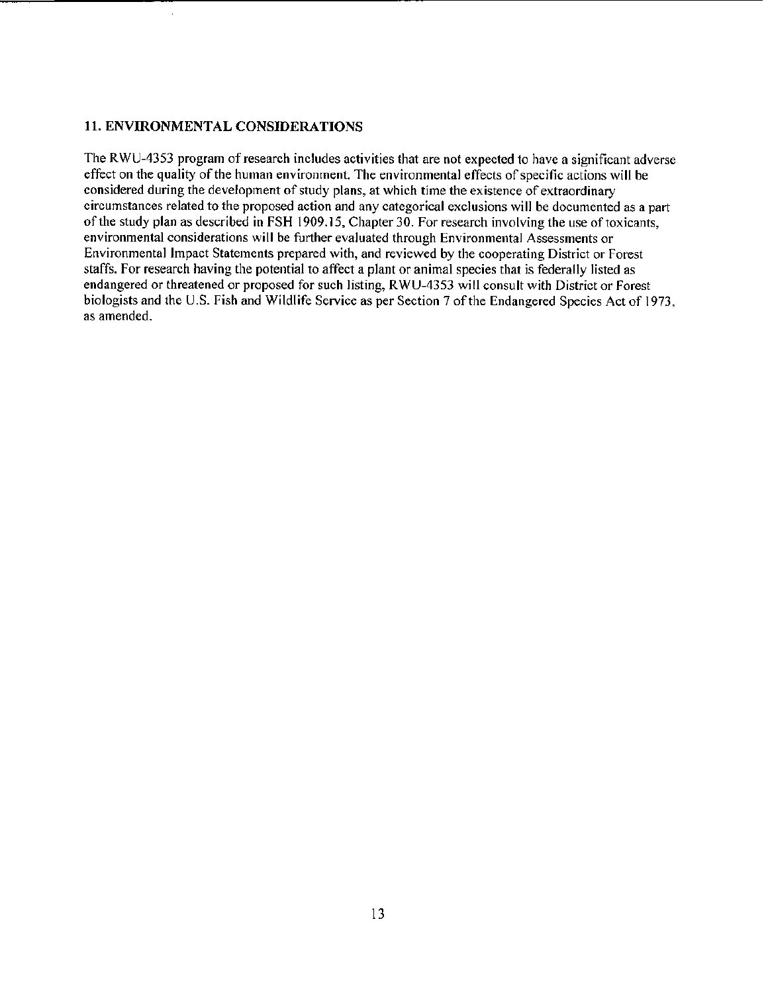### II. ENVIRONMENTAL CONSIDERATIONS

The RWU-4353 program of research includes activities that are not expected to have a significant adverse effect on the quality of the human environment. The environmental effects of specific actions will be considered during the development of study plans, at which time the existence of extraordinary circumstances related to the proposed action and any categorical exclusions will be documented as a part of the study plan as described in FSH 1909.15, Chapter 30. For research involving the use of toxicants, environmental considerations will be further evaluated through Environmental Assessments or Environmental Impact Statements prepared with, and reviewed by the cooperating District or Forest staffs. For research having the potential to affect a plant or animal species that is federally listed as endangered or threatened or proposed for such listing, R WU-4353 will consult with District or Forest biologists and the U.S. Fish and Wildlife Service as per Section 7 of the Endangered Species Act of 1973, as amended.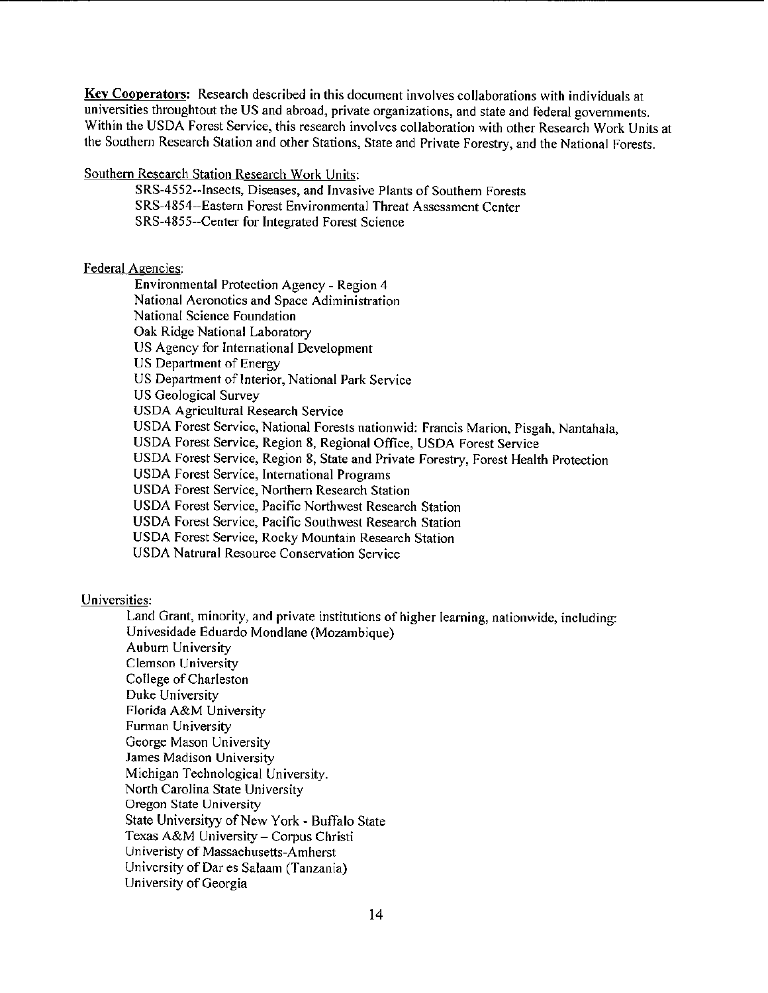**Key Cooperators:** Research described in this document involves collaborations with individuals at universities throughtout the US and abroad, private organizations, and state and federal governments. Within the USDA Forest Service, this research involves collaboration with other Research Work Units at the Southern Research Station and other Stations, State and Private Forestry, and the National Forests.

Southern Research Station Research Work Units:

SRS-4552--Insects, Diseases, and Invasive Plants of Southern Forests SRS-4854--Eastern Forest Environmental Threat Assessment Center SRS-4855--Center for Integrated Forest Science

### Federal Agencies:

Environmental Protection Agency - Region 4 National Aeronotics and Space Adiministration National Science Foundation Oak Ridge National Laboratory US Agency for International Development US Department of Energy US Department of Interior, National Park Service US Geological Survey USDA Agricultural Research Service USDA Forest Service, National Forests nationwid: Francis Marion, Pisgah, Nantahala, USDA Forest Service, Region 8, Regional Office, USDA Forest Service USDA Forest Service, Region 8, State and Private Forestry, Forest Health Protection USDA Forest Service, International Programs USDA Forest Service, Northern Research Station USDA Forest Service, Pacific Northwest Research Station USDA Forest Service, Pacific South\vest Research Station USDA Forest Service, Rocky Mountain Research Station USDA Natrural Resource Conservation Service

#### Universities:

Land Grant, minority, and private institutions of higher learning, nationwide, including: Univesidade Eduardo Mondlane (Mozambique) Auburn University Clemson University College of Charleston Duke University Florida A&M University Funnan University George Mason University James Madison University Michigan Technological University. North Carolina State University Oregon State University State Universityy of New York - Buffalo State Texas A&M University- Corpus Christi Univeristy of Massachusetts-Amherst University of Dar es Salaam (Tanzania) University of Georgia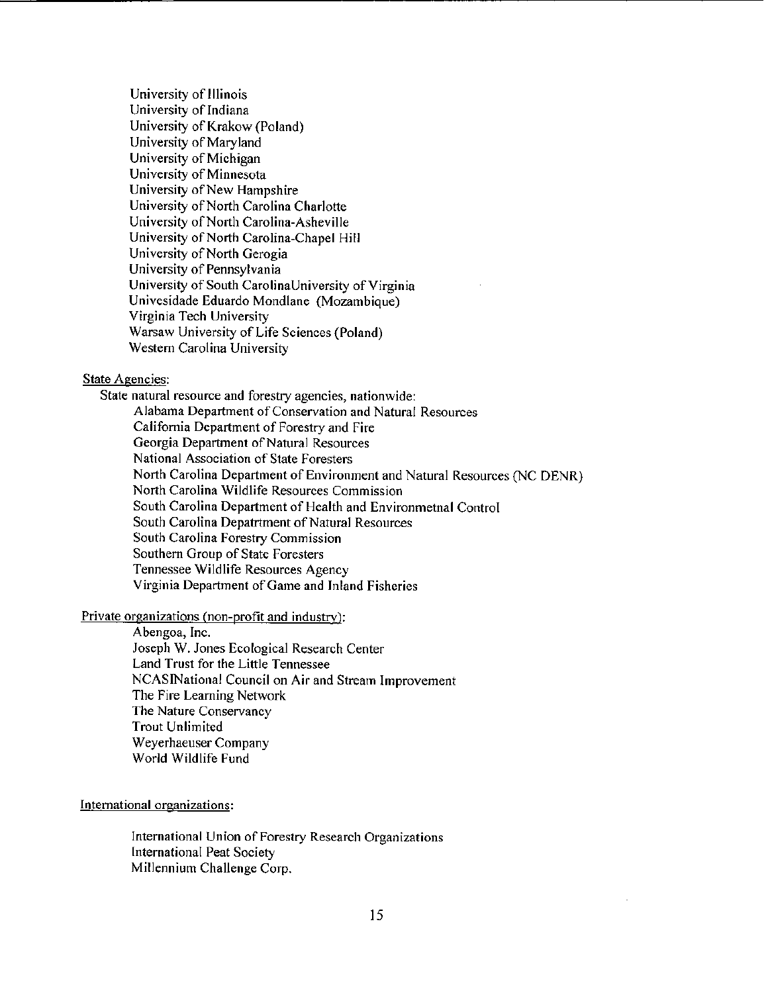University of Illinois University of Indiana University of Krakow (Poland) University of Maryland University of Michigan University of Minnesota University of New Hampshire University of North Carolina Charlotte University of North Carolina-Asheville University of North Carolina-Chapel Hill University of North Gerogia University of Pennsylvania University of South CarolinaUniversity of Virginia Univesidade Eduardo Mondlane (Mozambique) Virginia Tech University Warsaw University of Life Sciences (Poland) Western Carolina University

### State Agencies:

State natural resource and forestry agencies, nationwide: Alabama Department of Conservation and Natural Resources California Department of Forestry and Fire Georgia Department of Natural Resources National Association of State Foresters North Carolina Department of Environment and Natural Resources (NC DENR) North Carolina Wildlife Resources Commission South Carolina Department of Health and Environmetnal Control South Carolina Depatrtment of Natural Resources South Carolina Forestry Commission Southern Group of State Foresters Tennessee Wildlife Resources Agency Virginia Department of Game and Inland Fisheries

# Private organizations (non-profit and industry):

Abengoa, Inc. Joseph W. Jones Ecological Research Center Land Trust for the Little Tennessee NCASINational Council on Air and Stream Improvement The Fire Leaming Network The Nature Conservancy Trout Unlimited Weyerhaeuser Company World Wildlife Fund

#### International organizations:

International Union of Forestry Research Organizations International Peat Society Millennium Challenge Corp.